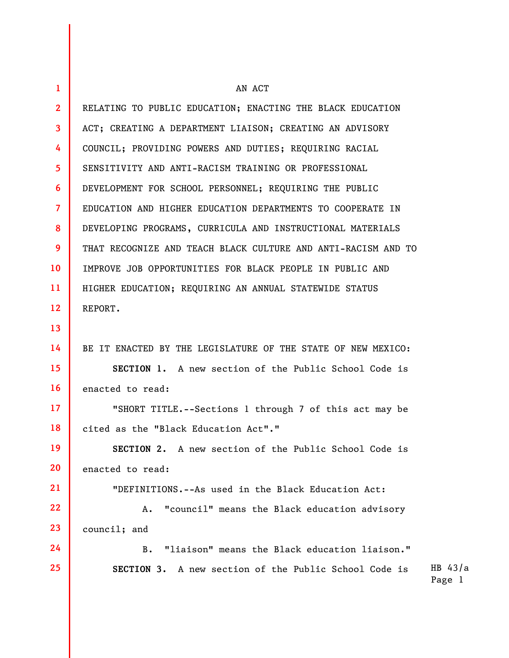| $\mathbf{1}$    | AN ACT                                                        |                     |
|-----------------|---------------------------------------------------------------|---------------------|
| $\overline{2}$  | RELATING TO PUBLIC EDUCATION; ENACTING THE BLACK EDUCATION    |                     |
| 3               | ACT; CREATING A DEPARTMENT LIAISON; CREATING AN ADVISORY      |                     |
| 4               | COUNCIL; PROVIDING POWERS AND DUTIES; REQUIRING RACIAL        |                     |
| $\overline{5}$  | SENSITIVITY AND ANTI-RACISM TRAINING OR PROFESSIONAL          |                     |
| 6               | DEVELOPMENT FOR SCHOOL PERSONNEL; REQUIRING THE PUBLIC        |                     |
| $\overline{7}$  | EDUCATION AND HIGHER EDUCATION DEPARTMENTS TO COOPERATE IN    |                     |
| 8               | DEVELOPING PROGRAMS, CURRICULA AND INSTRUCTIONAL MATERIALS    |                     |
| 9               | THAT RECOGNIZE AND TEACH BLACK CULTURE AND ANTI-RACISM AND TO |                     |
| 10              | IMPROVE JOB OPPORTUNITIES FOR BLACK PEOPLE IN PUBLIC AND      |                     |
| 11              | HIGHER EDUCATION; REQUIRING AN ANNUAL STATEWIDE STATUS        |                     |
| 12              | REPORT.                                                       |                     |
| 13              |                                                               |                     |
| 14              | BE IT ENACTED BY THE LEGISLATURE OF THE STATE OF NEW MEXICO:  |                     |
| 15              | SECTION 1. A new section of the Public School Code is         |                     |
| 16              | enacted to read:                                              |                     |
| 17 <sup>2</sup> | "SHORT TITLE.--Sections 1 through 7 of this act may be        |                     |
| 18              | cited as the "Black Education Act"."                          |                     |
| 19              | SECTION 2. A new section of the Public School Code is         |                     |
| 20              | enacted to read:                                              |                     |
| 21              | "DEFINITIONS.--As used in the Black Education Act:            |                     |
| 22              | "council" means the Black education advisory<br>$A_{\bullet}$ |                     |
| 23              | council; and                                                  |                     |
| 24              | "liaison" means the Black education liaison."<br>B.           |                     |
| 25              | SECTION 3. A new section of the Public School Code is         | HB $43/a$<br>Page 1 |
|                 |                                                               |                     |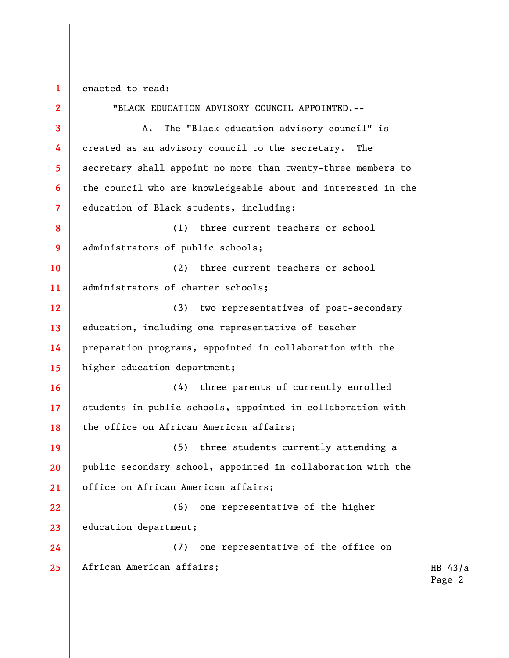1 enacted to read:

2 3 4 5 6 7 8 9 10 11 12 13 14 15 16 17 18 19 20 21 22 23 24 25 "BLACK EDUCATION ADVISORY COUNCIL APPOINTED.-- A. The "Black education advisory council" is created as an advisory council to the secretary. The secretary shall appoint no more than twenty-three members to the council who are knowledgeable about and interested in the education of Black students, including: (1) three current teachers or school administrators of public schools; (2) three current teachers or school administrators of charter schools; (3) two representatives of post-secondary education, including one representative of teacher preparation programs, appointed in collaboration with the higher education department; (4) three parents of currently enrolled students in public schools, appointed in collaboration with the office on African American affairs; (5) three students currently attending a public secondary school, appointed in collaboration with the office on African American affairs; (6) one representative of the higher education department; (7) one representative of the office on African American affairs;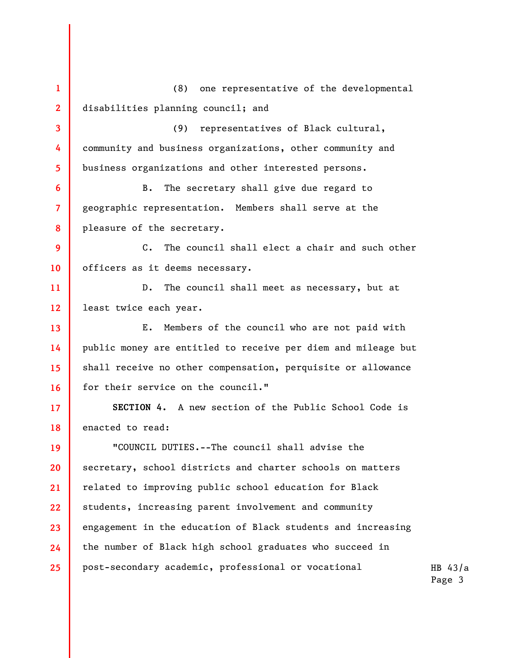HB 43/a 1 2 3 4 5 6 7 8 9 10 11 12 13 14 15 16 17 18 19 20 21 22 23 24 25 (8) one representative of the developmental disabilities planning council; and (9) representatives of Black cultural, community and business organizations, other community and business organizations and other interested persons. B. The secretary shall give due regard to geographic representation. Members shall serve at the pleasure of the secretary. C. The council shall elect a chair and such other officers as it deems necessary. D. The council shall meet as necessary, but at least twice each year. E. Members of the council who are not paid with public money are entitled to receive per diem and mileage but shall receive no other compensation, perquisite or allowance for their service on the council." SECTION 4. A new section of the Public School Code is enacted to read: "COUNCIL DUTIES.--The council shall advise the secretary, school districts and charter schools on matters related to improving public school education for Black students, increasing parent involvement and community engagement in the education of Black students and increasing the number of Black high school graduates who succeed in post-secondary academic, professional or vocational

Page 3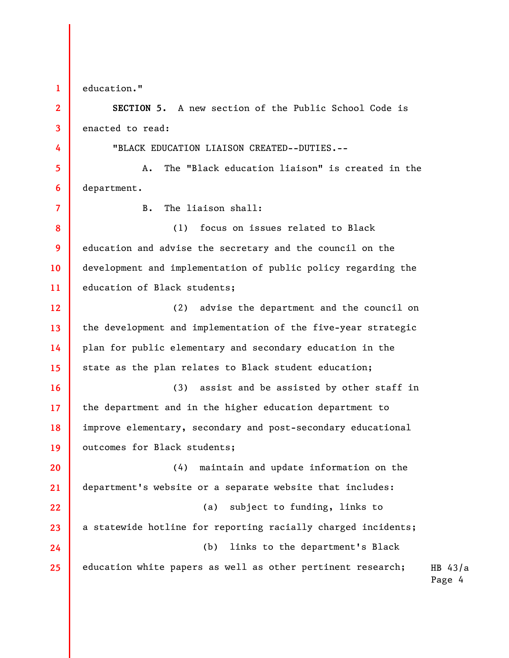1 2 3

4

7

education."

SECTION 5. A new section of the Public School Code is enacted to read:

"BLACK EDUCATION LIAISON CREATED--DUTIES.--

5 6 A. The "Black education liaison" is created in the department.

B. The liaison shall:

8 9 10 11 (1) focus on issues related to Black education and advise the secretary and the council on the development and implementation of public policy regarding the education of Black students;

12 13 14 15 (2) advise the department and the council on the development and implementation of the five-year strategic plan for public elementary and secondary education in the state as the plan relates to Black student education;

16 17 18 19 (3) assist and be assisted by other staff in the department and in the higher education department to improve elementary, secondary and post-secondary educational outcomes for Black students;

20 21 22 23 24 25 (4) maintain and update information on the department's website or a separate website that includes: (a) subject to funding, links to a statewide hotline for reporting racially charged incidents; (b) links to the department's Black education white papers as well as other pertinent research;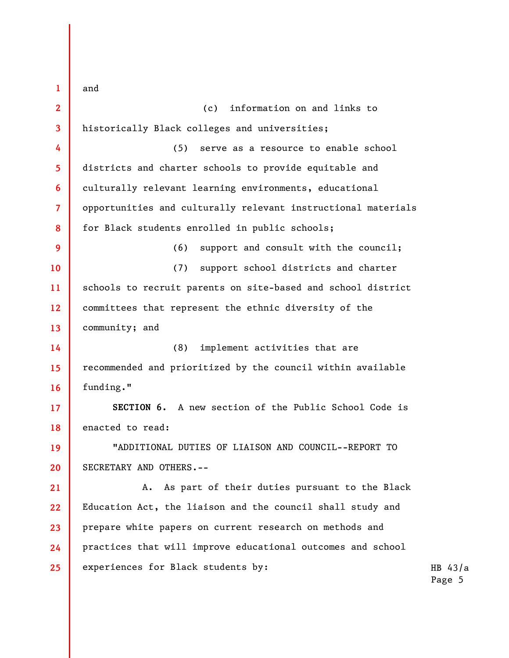HB 43/a Page 5 1 2 3 4 5 6 7 8 9 10 11 12 13 14 15 16 17 18 19 20 21 22 23 24 25 and (c) information on and links to historically Black colleges and universities; (5) serve as a resource to enable school districts and charter schools to provide equitable and culturally relevant learning environments, educational opportunities and culturally relevant instructional materials for Black students enrolled in public schools; (6) support and consult with the council; (7) support school districts and charter schools to recruit parents on site-based and school district committees that represent the ethnic diversity of the community; and (8) implement activities that are recommended and prioritized by the council within available funding." SECTION 6. A new section of the Public School Code is enacted to read: "ADDITIONAL DUTIES OF LIAISON AND COUNCIL--REPORT TO SECRETARY AND OTHERS.-- A. As part of their duties pursuant to the Black Education Act, the liaison and the council shall study and prepare white papers on current research on methods and practices that will improve educational outcomes and school experiences for Black students by: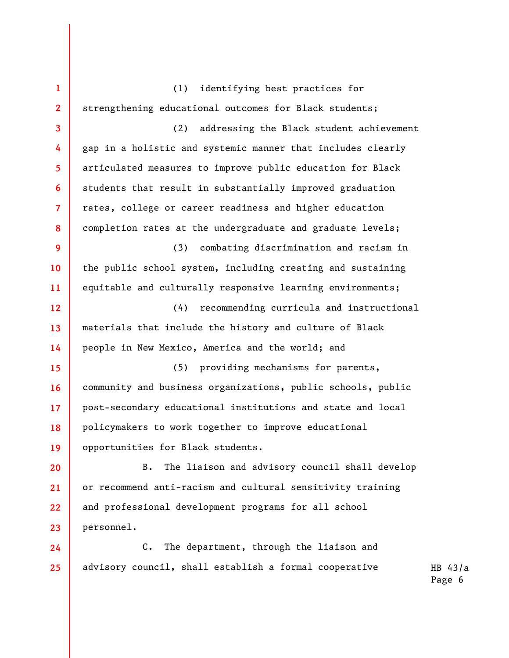1 2 3 4 5 6 7 8 9 10 11 12 13 14 15 16 17 18 19 20 21 22 23 24 (1) identifying best practices for strengthening educational outcomes for Black students; (2) addressing the Black student achievement gap in a holistic and systemic manner that includes clearly articulated measures to improve public education for Black students that result in substantially improved graduation rates, college or career readiness and higher education completion rates at the undergraduate and graduate levels; (3) combating discrimination and racism in the public school system, including creating and sustaining equitable and culturally responsive learning environments; (4) recommending curricula and instructional materials that include the history and culture of Black people in New Mexico, America and the world; and (5) providing mechanisms for parents, community and business organizations, public schools, public post-secondary educational institutions and state and local policymakers to work together to improve educational opportunities for Black students. B. The liaison and advisory council shall develop or recommend anti-racism and cultural sensitivity training and professional development programs for all school personnel. C. The department, through the liaison and

HB 43/a advisory council, shall establish a formal cooperative

25

Page 6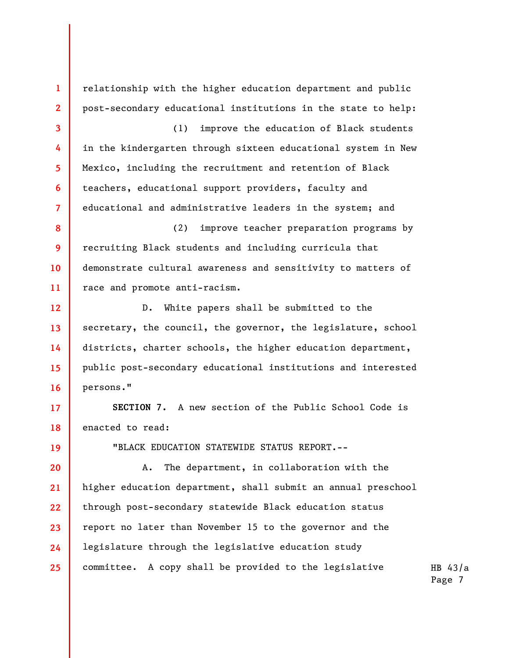1 2 3 4 5 6 7 8 9 10 11 12 13 14 15 16 17 18 19 20 21 22 23 24 25 (1) improve the education of Black students in the kindergarten through sixteen educational system in New Mexico, including the recruitment and retention of Black teachers, educational support providers, faculty and persons." enacted to read: "BLACK EDUCATION STATEWIDE STATUS REPORT.-- A. The department, in collaboration with the higher education department, shall submit an annual preschool through post-secondary statewide Black education status report no later than November 15 to the governor and the legislature through the legislative education study committee. A copy shall be provided to the legislative

Page 7

SECTION 7. A new section of the Public School Code is

secretary, the council, the governor, the legislature, school districts, charter schools, the higher education department, public post-secondary educational institutions and interested

demonstrate cultural awareness and sensitivity to matters of race and promote anti-racism. D. White papers shall be submitted to the

educational and administrative leaders in the system; and (2) improve teacher preparation programs by recruiting Black students and including curricula that

relationship with the higher education department and public post-secondary educational institutions in the state to help:

HB 43/a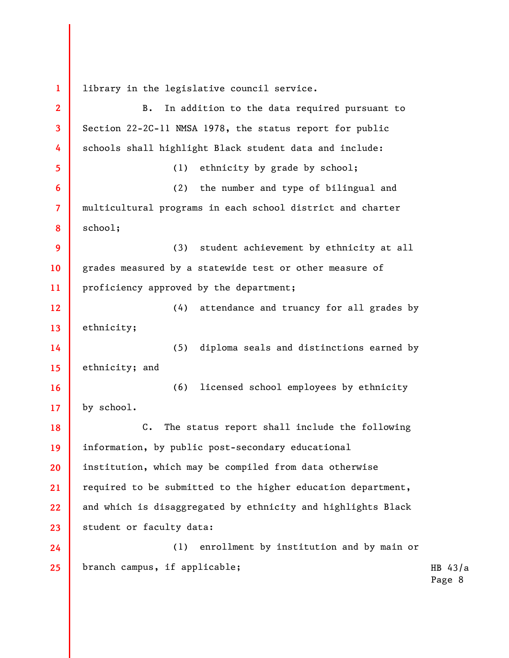1 library in the legislative council service.

2 3 4 5 6 7 8 9 10 11 12 13 14 15 16 17 18 19 20 21 22 23 24 25 B. In addition to the data required pursuant to Section 22-2C-11 NMSA 1978, the status report for public schools shall highlight Black student data and include: (1) ethnicity by grade by school; (2) the number and type of bilingual and multicultural programs in each school district and charter school; (3) student achievement by ethnicity at all grades measured by a statewide test or other measure of proficiency approved by the department; (4) attendance and truancy for all grades by ethnicity; (5) diploma seals and distinctions earned by ethnicity; and (6) licensed school employees by ethnicity by school. C. The status report shall include the following information, by public post-secondary educational institution, which may be compiled from data otherwise required to be submitted to the higher education department, and which is disaggregated by ethnicity and highlights Black student or faculty data: (1) enrollment by institution and by main or branch campus, if applicable;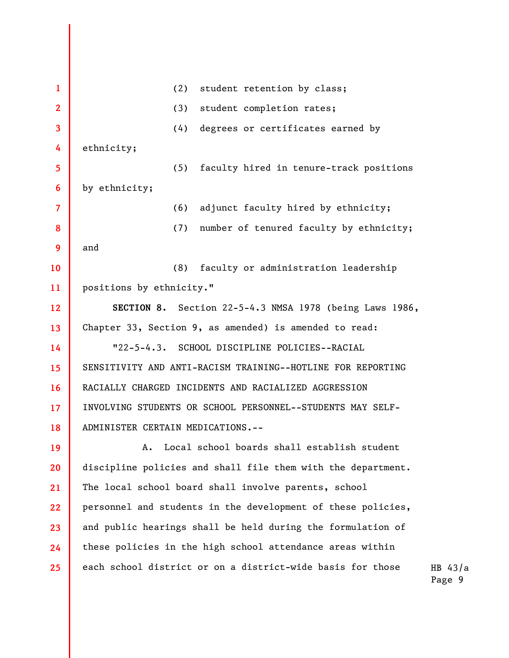1 2 3 4 5 6 7 8 9 10 11 12 13 14 15 16 17 18 19 20 21 22 23 24 25 (2) student retention by class; (3) student completion rates; (4) degrees or certificates earned by ethnicity; (5) faculty hired in tenure-track positions by ethnicity; (6) adjunct faculty hired by ethnicity; (7) number of tenured faculty by ethnicity; and (8) faculty or administration leadership positions by ethnicity." SECTION 8. Section 22-5-4.3 NMSA 1978 (being Laws 1986, Chapter 33, Section 9, as amended) is amended to read: "22-5-4.3. SCHOOL DISCIPLINE POLICIES--RACIAL SENSITIVITY AND ANTI-RACISM TRAINING--HOTLINE FOR REPORTING RACIALLY CHARGED INCIDENTS AND RACIALIZED AGGRESSION INVOLVING STUDENTS OR SCHOOL PERSONNEL--STUDENTS MAY SELF-ADMINISTER CERTAIN MEDICATIONS.-- A. Local school boards shall establish student discipline policies and shall file them with the department. The local school board shall involve parents, school personnel and students in the development of these policies, and public hearings shall be held during the formulation of these policies in the high school attendance areas within each school district or on a district-wide basis for those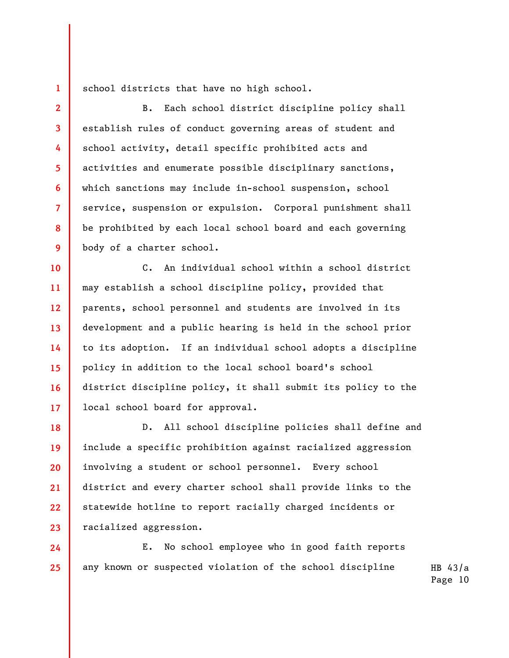school districts that have no high school.

1

2

3

4

5

6

7

8

9

24

25

B. Each school district discipline policy shall establish rules of conduct governing areas of student and school activity, detail specific prohibited acts and activities and enumerate possible disciplinary sanctions, which sanctions may include in-school suspension, school service, suspension or expulsion. Corporal punishment shall be prohibited by each local school board and each governing body of a charter school.

10 11 12 13 14 15 16 17 C. An individual school within a school district may establish a school discipline policy, provided that parents, school personnel and students are involved in its development and a public hearing is held in the school prior to its adoption. If an individual school adopts a discipline policy in addition to the local school board's school district discipline policy, it shall submit its policy to the local school board for approval.

18 19 20 21 22 23 D. All school discipline policies shall define and include a specific prohibition against racialized aggression involving a student or school personnel. Every school district and every charter school shall provide links to the statewide hotline to report racially charged incidents or racialized aggression.

E. No school employee who in good faith reports any known or suspected violation of the school discipline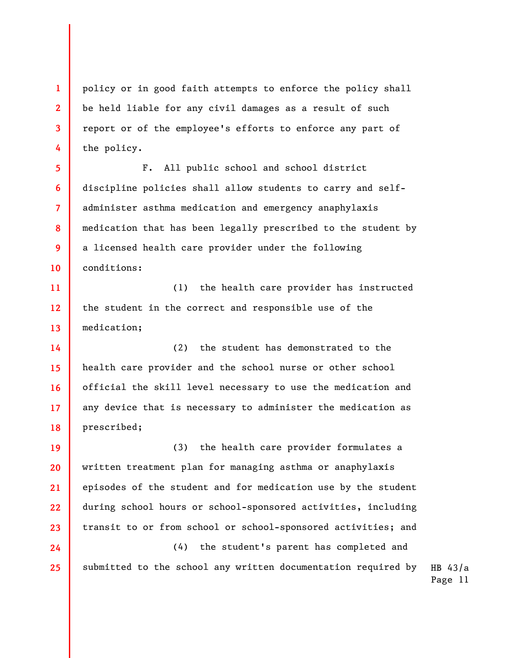1 2 3 4 policy or in good faith attempts to enforce the policy shall be held liable for any civil damages as a result of such report or of the employee's efforts to enforce any part of the policy.

5 6 7 8 9 10 F. All public school and school district discipline policies shall allow students to carry and selfadminister asthma medication and emergency anaphylaxis medication that has been legally prescribed to the student by a licensed health care provider under the following conditions:

11 12 13 (1) the health care provider has instructed the student in the correct and responsible use of the medication;

14 15 16 17 18 (2) the student has demonstrated to the health care provider and the school nurse or other school official the skill level necessary to use the medication and any device that is necessary to administer the medication as prescribed;

19 20 21 22 23 (3) the health care provider formulates a written treatment plan for managing asthma or anaphylaxis episodes of the student and for medication use by the student during school hours or school-sponsored activities, including transit to or from school or school-sponsored activities; and

24

25

HB 43/a Page 11 (4) the student's parent has completed and submitted to the school any written documentation required by